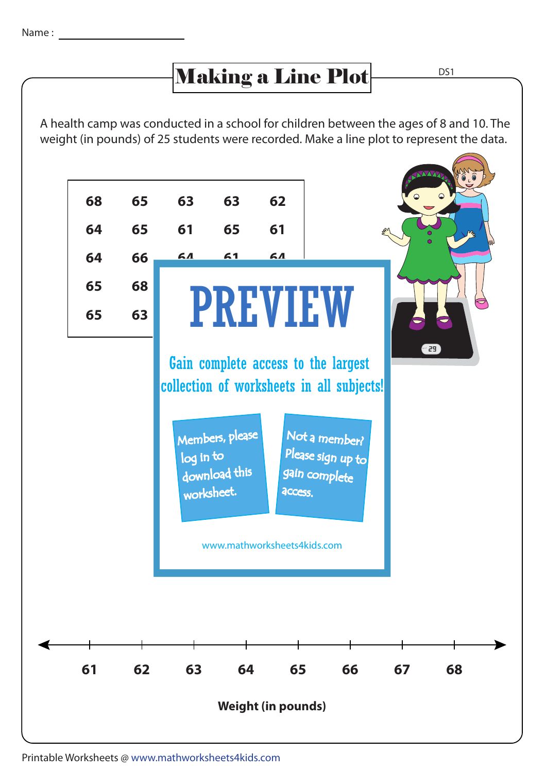## Making a Line Plot

D<sub>S1</sub>

A health camp was conducted in a school for children between the ages of 8 and 10. The weight (in pounds) of 25 students were recorded. Make a line plot to represent the data.



Printable Worksheets @ www.mathworksheets4kids.com